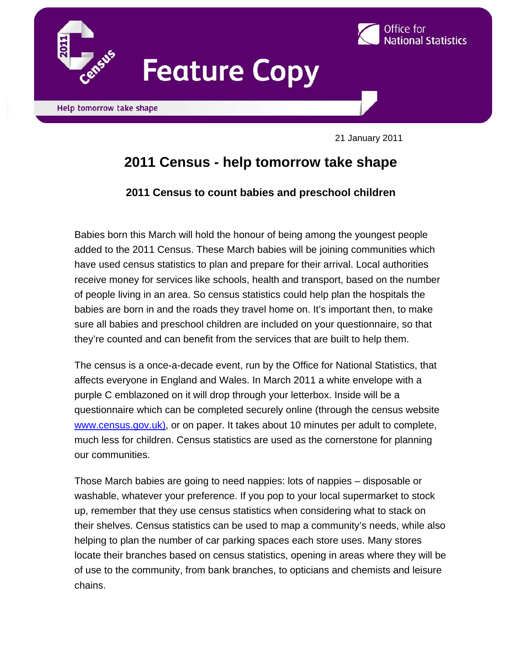



21 January 2011

I

# **2011 Census - help tomorrow take shape**

## **2011 Census to count babies and preschool children**

Babies born this March will hold the honour of being among the youngest people added to the 2011 Census. These March babies will be joining communities which have used census statistics to plan and prepare for their arrival. Local authorities receive money for services like schools, health and transport, based on the number of people living in an area. So census statistics could help plan the hospitals the babies are born in and the roads they travel home on. It's important then, to make sure all babies and preschool children are included on your questionnaire, so that they're counted and can benefit from the services that are built to help them.

The census is a once-a-decade event, run by the Office for National Statistics, that affects everyone in England and Wales. In March 2011 a white envelope with a purple C emblazoned on it will drop through your letterbox. Inside will be a questionnaire which can be completed securely online (through the census website www.census.gov.uk), or on paper. It takes about 10 minutes per adult to complete, much less for children. Census statistics are used as the cornerstone for planning our communities.

Those March babies are going to need nappies: lots of nappies – disposable or washable, whatever your preference. If you pop to your local supermarket to stock up, remember that they use census statistics when considering what to stack on their shelves. Census statistics can be used to map a community's needs, while also helping to plan the number of car parking spaces each store uses. Many stores locate their branches based on census statistics, opening in areas where they will be of use to the community, from bank branches, to opticians and chemists and leisure chains.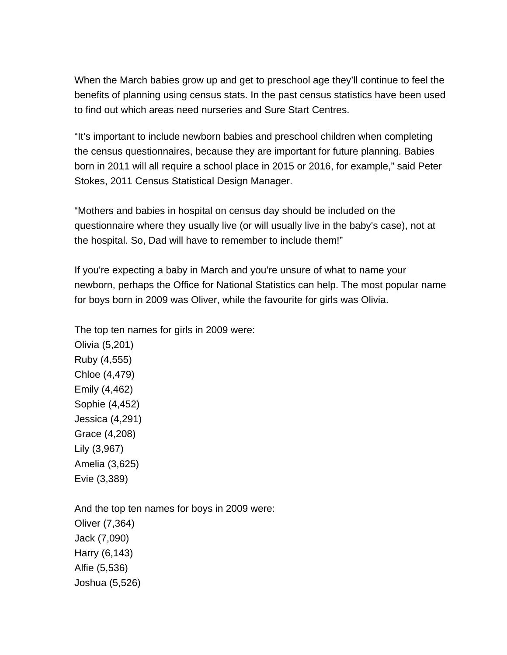When the March babies grow up and get to preschool age they'll continue to feel the benefits of planning using census stats. In the past census statistics have been used to find out which areas need nurseries and Sure Start Centres.

"It's important to include newborn babies and preschool children when completing the census questionnaires, because they are important for future planning. Babies born in 2011 will all require a school place in 2015 or 2016, for example," said Peter Stokes, 2011 Census Statistical Design Manager.

"Mothers and babies in hospital on census day should be included on the questionnaire where they usually live (or will usually live in the baby's case), not at the hospital. So, Dad will have to remember to include them!"

If you're expecting a baby in March and you're unsure of what to name your newborn, perhaps the Office for National Statistics can help. The most popular name for boys born in 2009 was Oliver, while the favourite for girls was Olivia.

The top ten names for girls in 2009 were: Olivia (5,201) Ruby (4,555) Chloe (4,479) Emily (4,462) Sophie (4,452) Jessica (4,291) Grace (4,208) Lily (3,967) Amelia (3,625) Evie (3,389)

And the top ten names for boys in 2009 were: Oliver (7,364) Jack (7,090) Harry (6,143) Alfie (5,536) Joshua (5,526)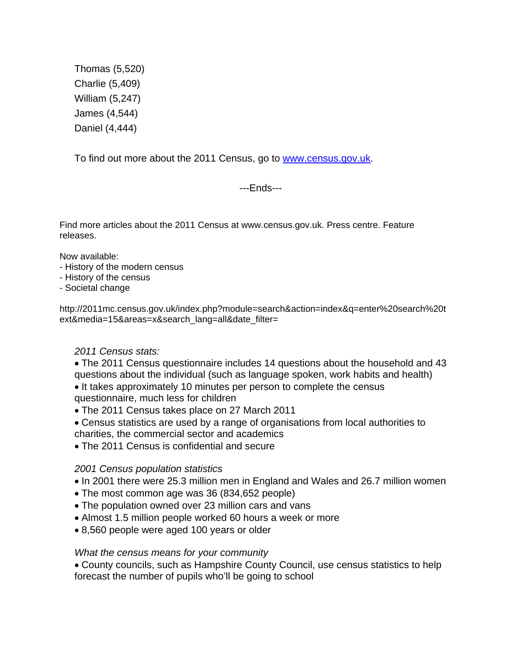Thomas (5,520) Charlie (5,409) William (5,247) James (4,544) Daniel (4,444)

To find out more about the 2011 Census, go to www.census.gov.uk.

---Ends---

Find more articles about the 2011 Census at www.census.gov.uk. Press centre. Feature releases.

Now available:

- History of the modern census
- History of the census
- Societal change

http://2011mc.census.gov.uk/index.php?module=search&action=index&q=enter%20search%20t ext&media=15&areas=x&search\_lang=all&date\_filter=

### *2011 Census stats:*

- The 2011 Census questionnaire includes 14 questions about the household and 43 questions about the individual (such as language spoken, work habits and health)
- It takes approximately 10 minutes per person to complete the census questionnaire, much less for children
- The 2011 Census takes place on 27 March 2011
- Census statistics are used by a range of organisations from local authorities to charities, the commercial sector and academics
- The 2011 Census is confidential and secure

### *2001 Census population statistics*

- In 2001 there were 25.3 million men in England and Wales and 26.7 million women
- The most common age was 36 (834,652 people)
- The population owned over 23 million cars and vans
- Almost 1.5 million people worked 60 hours a week or more
- 8,560 people were aged 100 years or older

### *What the census means for your community*

• County councils, such as Hampshire County Council, use census statistics to help forecast the number of pupils who'll be going to school